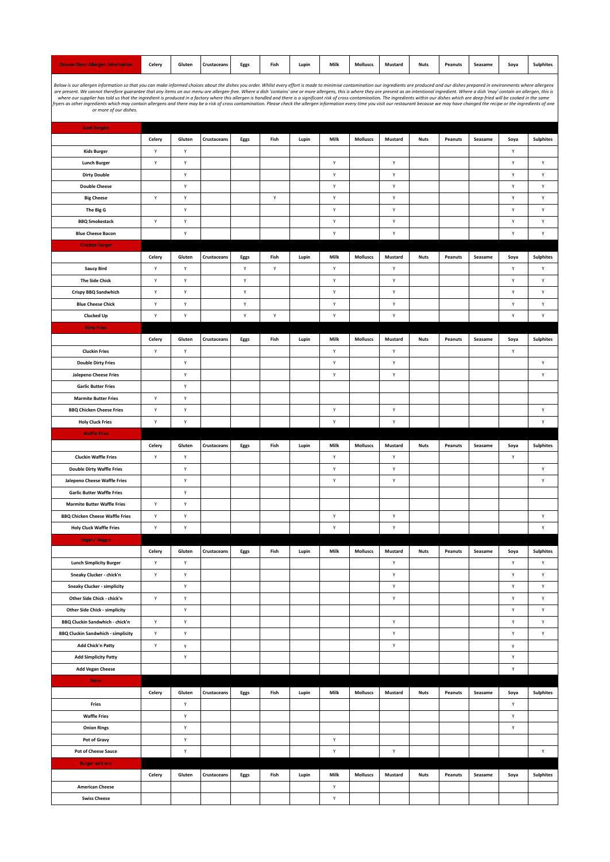Below is our allergen information so that you can make informed choices about the dishes you order. While very effort is made to make containination our ingredients are present. We cannot therefore gurantee that any items

| <b>Beef Burgers</b>                       |              |        |             |      |      |       |      |                 |         |             |         |         |              |                  |
|-------------------------------------------|--------------|--------|-------------|------|------|-------|------|-----------------|---------|-------------|---------|---------|--------------|------------------|
|                                           | Celery       | Gluten | Crustaceans | Eggs | Fish | Lupin | Milk | <b>Molluscs</b> | Mustard | <b>Nuts</b> | Peanuts | Seasame | Soya         | Sulphites        |
| <b>Kids Burger</b>                        | $\mathsf{Y}$ | Υ      |             |      |      |       |      |                 |         |             |         |         | $\mathsf{Y}$ |                  |
| <b>Lunch Burger</b>                       | Y            | Υ      |             |      |      |       | Υ    |                 | Υ       |             |         |         | Y            | Υ                |
| <b>Dirty Double</b>                       |              | Υ      |             |      |      |       | Υ    |                 | Υ       |             |         |         | Υ            | Υ                |
| <b>Double Cheese</b>                      |              | Υ      |             |      |      |       | Υ    |                 | Υ       |             |         |         | Y            | Υ                |
| <b>Big Cheese</b>                         | Y            | Υ      |             |      | Υ    |       | Υ    |                 | Y       |             |         |         | Y            | Υ                |
| The Big G                                 |              | Υ      |             |      |      |       | Υ    |                 | Υ       |             |         |         | Y            | Υ                |
| <b>BBQ Smokestack</b>                     | Y            | Υ      |             |      |      |       | Υ    |                 | Υ       |             |         |         | Υ            | Υ                |
| <b>Blue Cheese Bacon</b>                  |              | Υ      |             |      |      |       | Υ    |                 | Y       |             |         |         | Υ            | Υ                |
|                                           |              |        |             |      |      |       |      |                 |         |             |         |         |              |                  |
| <b>Chicken Burger</b>                     |              |        |             |      |      |       |      |                 |         |             |         |         |              |                  |
|                                           | Celery       | Gluten | Crustaceans | Eggs | Fish | Lupin | Milk | Molluscs        | Mustard | <b>Nuts</b> | Peanuts | Seasame | Soya         | <b>Sulphites</b> |
| <b>Saucy Bird</b>                         | Y            | Υ      |             | Υ    | Υ    |       | Υ    |                 | Υ       |             |         |         | Υ            | Υ                |
| <b>The Side Chick</b>                     | Y            | Υ      |             | Υ    |      |       | Υ    |                 | Υ       |             |         |         | Υ            | Υ                |
| Crispy BBQ Sandwhich                      | $\mathsf{Y}$ | Υ      |             | Υ    |      |       | Υ    |                 | Υ       |             |         |         | Υ            | Υ                |
| <b>Blue Cheese Chick</b>                  | Y            | Υ      |             | Υ    |      |       | Υ    |                 | Υ       |             |         |         | Y            | Υ                |
| <b>Clucked Up</b>                         | Υ            | Υ      |             | Υ    | Υ    |       | Υ    |                 | Υ       |             |         |         | Y            | Υ                |
| <b>Dirty Fries</b>                        |              |        |             |      |      |       |      |                 |         |             |         |         |              |                  |
|                                           | Celery       | Gluten | Crustaceans | Eggs | Fish | Lupin | Milk | <b>Molluscs</b> | Mustard | <b>Nuts</b> | Peanuts | Seasame | Soya         | <b>Sulphites</b> |
| <b>Cluckin Fries</b>                      | Y            | Υ      |             |      |      |       | Υ    |                 | Υ       |             |         |         | Y            |                  |
| <b>Double Dirty Fries</b>                 |              | Υ      |             |      |      |       | Υ    |                 | Υ       |             |         |         |              | Υ                |
| <b>Jalepeno Cheese Fries</b>              |              | Υ      |             |      |      |       | Υ    |                 | Υ       |             |         |         |              | Υ                |
|                                           |              |        |             |      |      |       |      |                 |         |             |         |         |              |                  |
| <b>Garlic Butter Fries</b>                |              | Υ      |             |      |      |       |      |                 |         |             |         |         |              |                  |
| <b>Marmite Butter Fries</b>               | $\mathsf{Y}$ | Υ      |             |      |      |       |      |                 |         |             |         |         |              |                  |
| <b>BBQ Chicken Cheese Fries</b>           | Y            | Υ      |             |      |      |       | Υ    |                 | Υ       |             |         |         |              | Υ                |
| <b>Holy Cluck Fries</b>                   | $\mathsf{Y}$ | Υ      |             |      |      |       | Υ    |                 | Υ       |             |         |         |              | Υ                |
| <b>Waffle Fries</b>                       |              |        |             |      |      |       |      |                 |         |             |         |         |              |                  |
|                                           | Celery       | Gluten | Crustaceans | Eggs | Fish | Lupin | Milk | <b>Molluscs</b> | Mustard | <b>Nuts</b> | Peanuts | Seasame | Soya         | <b>Sulphites</b> |
| <b>Cluckin Waffle Fries</b>               | Y            | Υ      |             |      |      |       | Υ    |                 | Υ       |             |         |         | Y            |                  |
| <b>Double Dirty Waffle Fries</b>          |              | Υ      |             |      |      |       | Υ    |                 | Υ       |             |         |         |              | Υ                |
| Jalepeno Cheese Waffle Fries              |              | Υ      |             |      |      |       | Υ    |                 | Υ       |             |         |         |              | Υ                |
| <b>Garlic Butter Waffle Fries</b>         |              | Υ      |             |      |      |       |      |                 |         |             |         |         |              |                  |
| <b>Marmite Butter Waffle Fries</b>        | $\mathsf{Y}$ | Υ      |             |      |      |       |      |                 |         |             |         |         |              |                  |
| <b>BBQ Chicken Cheese Waffle Fries</b>    | Υ            | Υ      |             |      |      |       | Υ    |                 | Υ       |             |         |         |              | Υ                |
| <b>Holy Cluck Waffle Fries</b>            | $\mathsf{Y}$ | Υ      |             |      |      |       | Υ    |                 | Υ       |             |         |         |              | Υ                |
|                                           |              |        |             |      |      |       |      |                 |         |             |         |         |              |                  |
| <b>Vegan/Veggie</b>                       |              |        |             |      |      |       |      |                 |         |             |         |         |              |                  |
|                                           | Celery       | Gluten | Crustaceans | Eggs | Fish | Lupin | Milk | <b>Molluscs</b> | Mustard | <b>Nuts</b> | Peanuts | Seasame | Soya         | <b>Sulphites</b> |
| <b>Lunch Simplicity Burger</b>            | $\mathsf{Y}$ | Υ      |             |      |      |       |      |                 | Υ       |             |         |         | Y            | Υ                |
| Sneaky Clucker - chick'n                  | Υ            | Υ      |             |      |      |       |      |                 | Υ       |             |         |         | Υ            | Υ                |
| <b>Sneaky Clucker - simplicity</b>        |              | Υ      |             |      |      |       |      |                 | Υ       |             |         |         | Y            | Υ                |
| Other Side Chick - chick'n                | $\mathsf{Y}$ | Υ      |             |      |      |       |      |                 | Υ       |             |         |         | Y            | Υ                |
| <b>Other Side Chick - simplicity</b>      |              | Υ      |             |      |      |       |      |                 |         |             |         |         | Y            | Υ                |
| BBQ Cluckin Sandwhich - chick'n           | Υ            | Υ      |             |      |      |       |      |                 | Υ       |             |         |         | Y            | Υ                |
| <b>BBQ Cluckin Sandwhich - simplicity</b> | Y            | Υ      |             |      |      |       |      |                 | Υ       |             |         |         | Υ            | Υ                |
| <b>Add Chick'n Patty</b>                  | Υ            | y      |             |      |      |       |      |                 | Υ       |             |         |         | y            |                  |
| <b>Add Simplicity Patty</b>               |              | Υ      |             |      |      |       |      |                 |         |             |         |         | Y            |                  |
| <b>Add Vegan Cheese</b>                   |              |        |             |      |      |       |      |                 |         |             |         |         | Υ            |                  |
| <b>Sides</b>                              |              |        |             |      |      |       |      |                 |         |             |         |         |              |                  |
|                                           |              |        |             |      |      |       |      |                 |         |             |         |         |              |                  |
|                                           | Celery       | Gluten | Crustaceans | Eggs | Fish | Lupin | Milk | <b>Molluscs</b> | Mustard | <b>Nuts</b> | Peanuts | Seasame | Soya         | <b>Sulphites</b> |
| Fries                                     |              | Υ      |             |      |      |       |      |                 |         |             |         |         | $\mathsf{Y}$ |                  |
| <b>Waffle Fries</b>                       |              | Υ      |             |      |      |       |      |                 |         |             |         |         | Υ            |                  |
| <b>Onion Rings</b>                        |              | Υ      |             |      |      |       |      |                 |         |             |         |         | Υ            |                  |
| Pot of Gravy                              |              | Υ      |             |      |      |       | Υ    |                 |         |             |         |         |              |                  |
| Pot of Cheese Sauce                       |              | Υ      |             |      |      |       | Υ    |                 | Υ       |             |         |         |              | Υ                |
| <b>Burger add ons</b>                     |              |        |             |      |      |       |      |                 |         |             |         |         |              |                  |
|                                           | Celery       | Gluten | Crustaceans | Eggs | Fish | Lupin | Milk | <b>Molluscs</b> | Mustard | <b>Nuts</b> | Peanuts | Seasame | Soya         | <b>Sulphites</b> |
| <b>American Cheese</b>                    |              |        |             |      |      |       | Υ    |                 |         |             |         |         |              |                  |
| <b>Swiss Cheese</b>                       |              |        |             |      |      |       | Υ    |                 |         |             |         |         |              |                  |
|                                           |              |        |             |      |      |       |      |                 |         |             |         |         |              |                  |